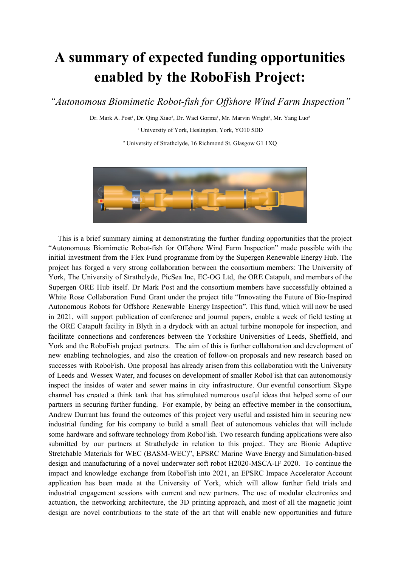## **A summary of expected funding opportunities enabled by the RoboFish Project:**

 *"Autonomous Biomimetic Robot-fish for Offshore Wind Farm Inspection"*

Dr. Mark A. Post<sup>1</sup>, Dr. Qing Xiao<sup>2</sup>, Dr. Wael Gorma<sup>1</sup>, Mr. Marvin Wright<sup>2</sup>, Mr. Yang Luo<sup>2</sup>

<sup>1</sup> University of York, Heslington, York, YO10 5DD

² University of Strathclyde, 16 Richmond St, Glasgow G1 1XQ



 "Autonomous Biomimetic Robot-fish for Offshore Wind Farm Inspection" made possible with the initial investment from the Flex Fund programme from by the Supergen Renewable Energy Hub. The project has forged a very strong collaboration between the consortium members: The University of York, The University of Strathclyde, PicSea Inc, EC-OG Ltd, the ORE Catapult, and members of the Supergen ORE Hub itself. Dr Mark Post and the consortium members have successfully obtained a White Rose Collaboration Fund Grant under the project title "Innovating the Future of Bio-Inspired Autonomous Robots for Offshore Renewable Energy Inspection". This fund, which will now be used in 2021, will support publication of conference and journal papers, enable a week of field testing at the ORE Catapult facility in Blyth in a drydock with an actual turbine monopole for inspection, and facilitate connections and conferences between the Yorkshire Universities of Leeds, Sheffield, and York and the RoboFish project partners. The aim of this is further collaboration and development of new enabling technologies, and also the creation of follow-on proposals and new research based on successes with RoboFish. One proposal has already arisen from this collaboration with the University of Leeds and Wessex Water, and focuses on development of smaller RoboFish that can autonomously inspect the insides of water and sewer mains in city infrastructure. Our eventful consortium Skype channel has created a think tank that has stimulated numerous useful ideas that helped some of our partners in securing further funding. For example, by being an effective member in the consortium, Andrew Durrant has found the outcomes of this project very useful and assisted him in securing new industrial funding for his company to build a small fleet of autonomous vehicles that will include some hardware and software technology from RoboFish. Two research funding applications were also submitted by our partners at Strathclyde in relation to this project. They are Bionic Adaptive Stretchable Materials for WEC (BASM-WEC)", EPSRC Marine Wave Energy and Simulation-based design and manufacturing of a novel underwater soft robot H2020-MSCA-IF 2020. To continue the impact and knowledge exchange from RoboFish into 2021, an EPSRC Impace Accelerator Account application has been made at the University of York, which will allow further field trials and industrial engagement sessions with current and new partners. The use of modular electronics and actuation, the networking architecture, the 3D printing approach, and most of all the magnetic joint design are novel contributions to the state of the art that will enable new opportunities and futureThis is a brief summary aiming at demonstrating the further funding opportunities that the project